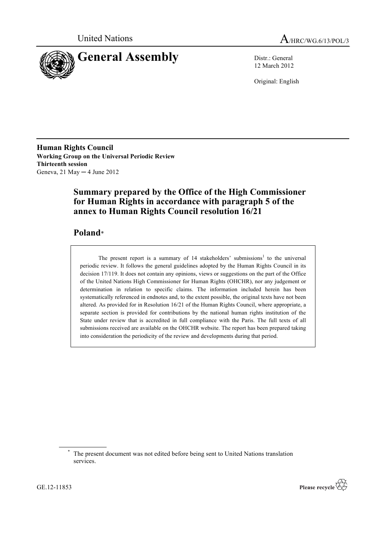



12 March 2012

Original: English

**Human Rights Council Working Group on the Universal Periodic Review Thirteenth session** Geneva, 21 May ─ 4 June 2012

# **Summary prepared by the Office of the High Commissioner for Human Rights in accordance with paragraph 5 of the annex to Human Rights Council resolution 16/21**

# **Poland**\*

The present report is a summary of  $14$  stakeholders' submissions<sup>1</sup> to the universal periodic review. It follows the general guidelines adopted by the Human Rights Council in its decision 17/119. It does not contain any opinions, views or suggestions on the part of the Office of the United Nations High Commissioner for Human Rights (OHCHR), nor any judgement or determination in relation to specific claims. The information included herein has been systematically referenced in endnotes and, to the extent possible, the original texts have not been altered. As provided for in Resolution 16/21 of the Human Rights Council, where appropriate, a separate section is provided for contributions by the national human rights institution of the State under review that is accredited in full compliance with the Paris. The full texts of all submissions received are available on the OHCHR website. The report has been prepared taking into consideration the periodicity of the review and developments during that period.



The present document was not edited before being sent to United Nations translation services.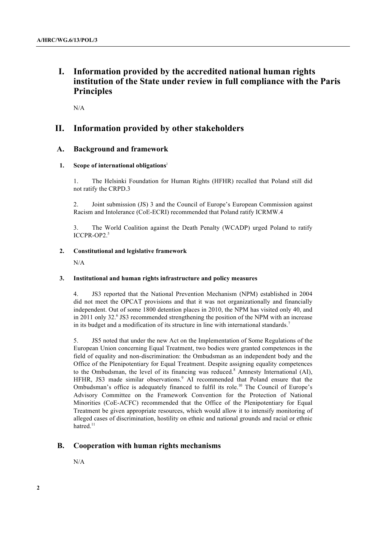# **I. Information provided by the accredited national human rights institution of the State under review in full compliance with the Paris Principles**

N/A

# **II. Information provided by other stakeholders**

# **A. Background and framework**

# **1. Scope of international obligations**<sup>2</sup>

1. The Helsinki Foundation for Human Rights (HFHR) recalled that Poland still did not ratify the CRPD.3

2. Joint submission (JS) 3 and the Council of Europe's European Commission against Racism and Intolerance (CoE-ECRI) recommended that Poland ratify ICRMW.4

3. The World Coalition against the Death Penalty (WCADP) urged Poland to ratify ICCPR-OP2.<sup>5</sup>

# **2. Constitutional and legislative framework**

N/A

# **3. Institutional and human rights infrastructure and policy measures**

4. JS3 reported that the National Prevention Mechanism (NPM) established in 2004 did not meet the OPCAT provisions and that it was not organizationally and financially independent. Out of some 1800 detention places in 2010, the NPM has visited only 40, and in 2011 only 32.<sup>6</sup> JS3 recommended strengthening the position of the NPM with an increase in its budget and a modification of its structure in line with international standards.<sup>7</sup>

5. JS5 noted that under the new Act on the Implementation of Some Regulations of the European Union concerning Equal Treatment, two bodies were granted competences in the field of equality and non-discrimination: the Ombudsman as an independent body and the Office of the Plenipotentiary for Equal Treatment. Despite assigning equality competences to the Ombudsman, the level of its financing was reduced.<sup>8</sup> Amnesty International (AI), HFHR, JS3 made similar observations.<sup>9</sup> AI recommended that Poland ensure that the Ombudsman's office is adequately financed to fulfil its role.<sup>10</sup> The Council of Europe's Advisory Committee on the Framework Convention for the Protection of National Minorities (CoE-ACFC) recommended that the Office of the Plenipotentiary for Equal Treatment be given appropriate resources, which would allow it to intensify monitoring of alleged cases of discrimination, hostility on ethnic and national grounds and racial or ethnic hatred.<sup>11</sup>

# **B. Cooperation with human rights mechanisms**

N/A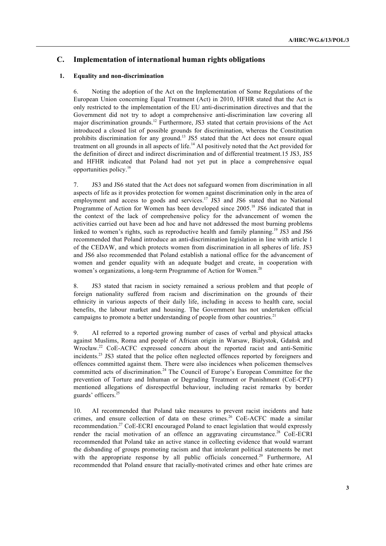# **C. Implementation of international human rights obligations**

### **1. Equality and non-discrimination**

6. Noting the adoption of the Act on the Implementation of Some Regulations of the European Union concerning Equal Treatment (Act) in 2010, HFHR stated that the Act is only restricted to the implementation of the EU anti-discrimination directives and that the Government did not try to adopt a comprehensive anti-discrimination law covering all major discrimination grounds.12 Furthermore, JS3 stated that certain provisions of the Act introduced a closed list of possible grounds for discrimination, whereas the Constitution prohibits discrimination for any ground.<sup>13</sup> JS5 stated that the Act does not ensure equal treatment on all grounds in all aspects of life.<sup>14</sup> AI positively noted that the Act provided for the definition of direct and indirect discrimination and of differential treatment.15 JS3, JS5 and HFHR indicated that Poland had not yet put in place a comprehensive equal opportunities policy.<sup>16</sup>

7. JS3 and JS6 stated that the Act does not safeguard women from discrimination in all aspects of life as it provides protection for women against discrimination only in the area of employment and access to goods and services.<sup>17</sup> JS3 and JS6 stated that no National Programme of Action for Women has been developed since 2005.<sup>18</sup> JS6 indicated that in the context of the lack of comprehensive policy for the advancement of women the activities carried out have been ad hoc and have not addressed the most burning problems linked to women's rights, such as reproductive health and family planning.<sup>19</sup> JS3 and JS6 recommended that Poland introduce an anti-discrimination legislation in line with article 1 of the CEDAW, and which protects women from discrimination in all spheres of life. JS3 and JS6 also recommended that Poland establish a national office for the advancement of women and gender equality with an adequate budget and create, in cooperation with women's organizations, a long-term Programme of Action for Women.<sup>20</sup>

8. JS3 stated that racism in society remained a serious problem and that people of foreign nationality suffered from racism and discrimination on the grounds of their ethnicity in various aspects of their daily life, including in access to health care, social benefits, the labour market and housing. The Government has not undertaken official campaigns to promote a better understanding of people from other countries.<sup>21</sup>

9. AI referred to a reported growing number of cases of verbal and physical attacks against Muslims, Roma and people of African origin in Warsaw, Białystok, Gdańsk and Wrocław.22 CoE-ACFC expressed concern about the reported racist and anti-Semitic incidents.<sup>23</sup> JS3 stated that the police often neglected offences reported by foreigners and offences committed against them. There were also incidences when policemen themselves committed acts of discrimination.<sup>24</sup> The Council of Europe's European Committee for the prevention of Torture and Inhuman or Degrading Treatment or Punishment (CoE-CPT) mentioned allegations of disrespectful behaviour, including racist remarks by border guards' officers.25

10. AI recommended that Poland take measures to prevent racist incidents and hate crimes, and ensure collection of data on these crimes.<sup>26</sup> CoE-ACFC made a similar recommendation.<sup>27</sup> CoE-ECRI encouraged Poland to enact legislation that would expressly render the racial motivation of an offence an aggravating circumstance.<sup>28</sup> CoE-ECRI recommended that Poland take an active stance in collecting evidence that would warrant the disbanding of groups promoting racism and that intolerant political statements be met with the appropriate response by all public officials concerned.<sup>29</sup> Furthermore, AI recommended that Poland ensure that racially-motivated crimes and other hate crimes are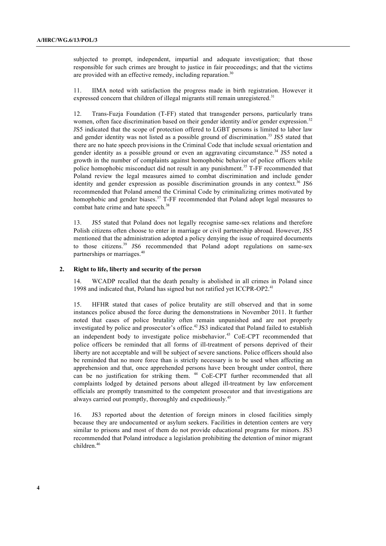subjected to prompt, independent, impartial and adequate investigation; that those responsible for such crimes are brought to justice in fair proceedings; and that the victims are provided with an effective remedy, including reparation.<sup>30</sup>

11. IIMA noted with satisfaction the progress made in birth registration. However it expressed concern that children of illegal migrants still remain unregistered.<sup>31</sup>

12. Trans-Fuzja Foundation (T-FF) stated that transgender persons, particularly trans women, often face discrimination based on their gender identity and/or gender expression.<sup>32</sup> JS5 indicated that the scope of protection offered to LGBT persons is limited to labor law and gender identity was not listed as a possible ground of discrimination.<sup>33</sup> JS5 stated that there are no hate speech provisions in the Criminal Code that include sexual orientation and gender identity as a possible ground or even an aggravating circumstance.<sup>34</sup> JS5 noted a growth in the number of complaints against homophobic behavior of police officers while police homophobic misconduct did not result in any punishment.<sup>35</sup> T-FF recommended that Poland review the legal measures aimed to combat discrimination and include gender identity and gender expression as possible discrimination grounds in any context.<sup>36</sup> JS6 recommended that Poland amend the Criminal Code by criminalizing crimes motivated by homophobic and gender biases.<sup>37</sup> T-FF recommended that Poland adopt legal measures to combat hate crime and hate speech.<sup>38</sup>

13. JS5 stated that Poland does not legally recognise same-sex relations and therefore Polish citizens often choose to enter in marriage or civil partnership abroad. However, JS5 mentioned that the administration adopted a policy denying the issue of required documents to those citizens.<sup>39</sup> JS6 recommended that Poland adopt regulations on same-sex partnerships or marriages. 40

#### **2. Right to life, liberty and security of the person**

14. WCADP recalled that the death penalty is abolished in all crimes in Poland since 1998 and indicated that, Poland has signed but not ratified yet ICCPR-OP2.<sup>41</sup>

15. HFHR stated that cases of police brutality are still observed and that in some instances police abused the force during the demonstrations in November 2011. It further noted that cases of police brutality often remain unpunished and are not properly investigated by police and prosecutor's office.<sup>42</sup> JS3 indicated that Poland failed to establish an independent body to investigate police misbehavior. <sup>43</sup> CoE-CPT recommended that police officers be reminded that all forms of ill-treatment of persons deprived of their liberty are not acceptable and will be subject of severe sanctions. Police officers should also be reminded that no more force than is strictly necessary is to be used when affecting an apprehension and that, once apprehended persons have been brought under control, there can be no justification for striking them. <sup>44</sup> CoE-CPT further recommended that all complaints lodged by detained persons about alleged ill-treatment by law enforcement officials are promptly transmitted to the competent prosecutor and that investigations are always carried out promptly, thoroughly and expeditiously.45

16. JS3 reported about the detention of foreign minors in closed facilities simply because they are undocumented or asylum seekers. Facilities in detention centers are very similar to prisons and most of them do not provide educational programs for minors. JS3 recommended that Poland introduce a legislation prohibiting the detention of minor migrant children. 46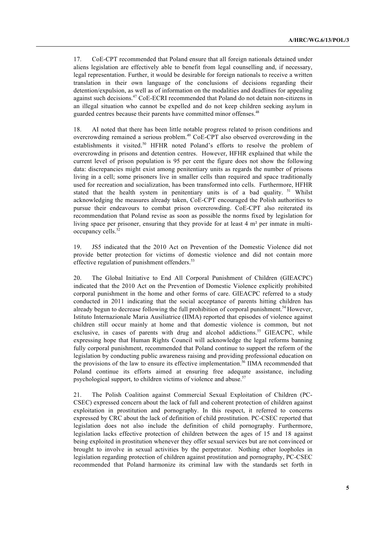17. CoE-CPT recommended that Poland ensure that all foreign nationals detained under aliens legislation are effectively able to benefit from legal counselling and, if necessary, legal representation. Further, it would be desirable for foreign nationals to receive a written translation in their own language of the conclusions of decisions regarding their detention/expulsion, as well as of information on the modalities and deadlines for appealing against such decisions.<sup>47</sup> CoE-ECRI recommended that Poland do not detain non-citizens in an illegal situation who cannot be expelled and do not keep children seeking asylum in guarded centres because their parents have committed minor offenses.<sup>48</sup>

18. AI noted that there has been little notable progress related to prison conditions and overcrowding remained a serious problem.<sup>49</sup> CoE-CPT also observed overcrowding in the establishments it visited.<sup>50</sup> HFHR noted Poland's efforts to resolve the problem of overcrowding in prisons and detention centres. However, HFHR explained that while the current level of prison population is 95 per cent the figure does not show the following data: discrepancies might exist among penitentiary units as regards the number of prisons living in a cell; some prisoners live in smaller cells than required and space traditionally used for recreation and socialization, has been transformed into cells. Furthermore, HFHR stated that the health system in penitentiary units is of a bad quality. <sup>51</sup> Whilst acknowledging the measures already taken, CoE-CPT encouraged the Polish authorities to pursue their endeavours to combat prison overcrowding. CoE-CPT also reiterated its recommendation that Poland revise as soon as possible the norms fixed by legislation for living space per prisoner, ensuring that they provide for at least 4 m² per inmate in multioccupancy cells.<sup>52</sup>

19. JS5 indicated that the 2010 Act on Prevention of the Domestic Violence did not provide better protection for victims of domestic violence and did not contain more effective regulation of punishment offenders.<sup>53</sup>

20. The Global Initiative to End All Corporal Punishment of Children (GIEACPC) indicated that the 2010 Act on the Prevention of Domestic Violence explicitly prohibited corporal punishment in the home and other forms of care. GIEACPC referred to a study conducted in 2011 indicating that the social acceptance of parents hitting children has already begun to decrease following the full prohibition of corporal punishment.<sup>54</sup> However, Istituto Internazionale Maria Ausiliatrice (IIMA) reported that episodes of violence against children still occur mainly at home and that domestic violence is common, but not exclusive, in cases of parents with drug and alcohol addictions.<sup>55</sup> GIEACPC, while expressing hope that Human Rights Council will acknowledge the legal reforms banning fully corporal punishment, recommended that Poland continue to support the reform of the legislation by conducting public awareness raising and providing professional education on the provisions of the law to ensure its effective implementation. 56 IIMA recommended that Poland continue its efforts aimed at ensuring free adequate assistance, including psychological support, to children victims of violence and abuse.<sup>57</sup>

21. The Polish Coalition against Commercial Sexual Exploitation of Children (PC-CSEC) expressed concern about the lack of full and coherent protection of children against exploitation in prostitution and pornography. In this respect, it referred to concerns expressed by CRC about the lack of definition of child prostitution. PC-CSEC reported that legislation does not also include the definition of child pornography. Furthermore, legislation lacks effective protection of children between the ages of 15 and 18 against being exploited in prostitution whenever they offer sexual services but are not convinced or brought to involve in sexual activities by the perpetrator. Nothing other loopholes in legislation regarding protection of children against prostitution and pornography, PC-CSEC recommended that Poland harmonize its criminal law with the standards set forth in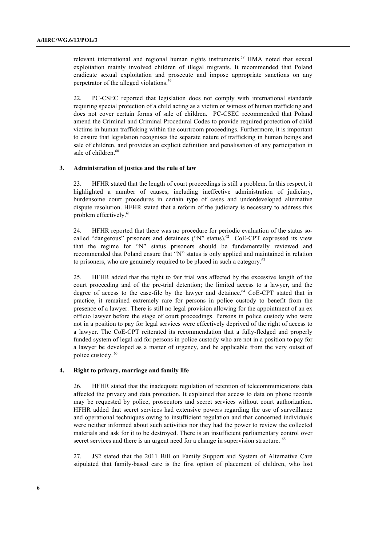relevant international and regional human rights instruments.<sup>58</sup> IIMA noted that sexual exploitation mainly involved children of illegal migrants. It recommended that Poland eradicate sexual exploitation and prosecute and impose appropriate sanctions on any perpetrator of the alleged violations.<sup>59</sup>

22. PC-CSEC reported that legislation does not comply with international standards requiring special protection of a child acting as a victim or witness of human trafficking and does not cover certain forms of sale of children. PC-CSEC recommended that Poland amend the Criminal and Criminal Procedural Codes to provide required protection of child victims in human trafficking within the courtroom proceedings. Furthermore, it is important to ensure that legislation recognises the separate nature of trafficking in human beings and sale of children, and provides an explicit definition and penalisation of any participation in sale of children.<sup>60</sup>

#### **3. Administration of justice and the rule of law**

23. HFHR stated that the length of court proceedings is still a problem. In this respect, it highlighted a number of causes, including ineffective administration of judiciary, burdensome court procedures in certain type of cases and underdeveloped alternative dispute resolution. HFHR stated that a reform of the judiciary is necessary to address this problem effectively. 61

24. HFHR reported that there was no procedure for periodic evaluation of the status socalled "dangerous" prisoners and detainees ("N" status).<sup>62</sup> CoE-CPT expressed its view that the regime for "N" status prisoners should be fundamentally reviewed and recommended that Poland ensure that "N" status is only applied and maintained in relation to prisoners, who are genuinely required to be placed in such a category.<sup>63</sup>

25. HFHR added that the right to fair trial was affected by the excessive length of the court proceeding and of the pre-trial detention; the limited access to a lawyer, and the degree of access to the case-file by the lawyer and detainee.<sup>64</sup> CoE-CPT stated that in practice, it remained extremely rare for persons in police custody to benefit from the presence of a lawyer. There is still no legal provision allowing for the appointment of an ex officio lawyer before the stage of court proceedings. Persons in police custody who were not in a position to pay for legal services were effectively deprived of the right of access to a lawyer. The CoE-CPT reiterated its recommendation that a fully-fledged and properly funded system of legal aid for persons in police custody who are not in a position to pay for a lawyer be developed as a matter of urgency, and be applicable from the very outset of police custody. <sup>65</sup>

#### **4. Right to privacy, marriage and family life**

26. HFHR stated that the inadequate regulation of retention of telecommunications data affected the privacy and data protection. It explained that access to data on phone records may be requested by police, prosecutors and secret services without court authorization. HFHR added that secret services had extensive powers regarding the use of surveillance and operational techniques owing to insufficient regulation and that concerned individuals were neither informed about such activities nor they had the power to review the collected materials and ask for it to be destroyed. There is an insufficient parliamentary control over secret services and there is an urgent need for a change in supervision structure. <sup>66</sup>

27. JS2 stated that the 2011 Bill on Family Support and System of Alternative Care stipulated that family-based care is the first option of placement of children, who lost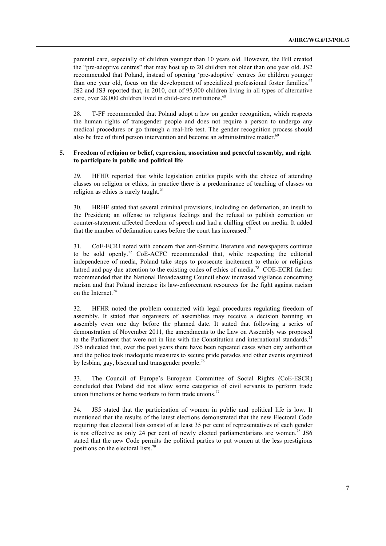parental care, especially of children younger than 10 years old. However, the Bill created the "pre-adoptive centres" that may host up to 20 children not older than one year old. JS2 recommended that Poland, instead of opening 'pre-adoptive' centres for children younger than one year old, focus on the development of specialized professional foster families.<sup>67</sup> JS2 and JS3 reported that, in 2010, out of 95,000 children living in all types of alternative care, over 28,000 children lived in child-care institutions.<sup>68</sup>

28. T-FF recommended that Poland adopt a law on gender recognition, which respects the human rights of transgender people and does not require a person to undergo any medical procedures or go thr**o**ugh a real-life test. The gender recognition process should also be free of third person intervention and become an administrative matter.<sup>69</sup>

# **5. Freedom of religion or belief, expression, association and peaceful assembly, and right to participate in public and political life**

29. HFHR reported that while legislation entitles pupils with the choice of attending classes on religion or ethics, in practice there is a predominance of teaching of classes on religion as ethics is rarely taught. $\frac{70}{10}$ 

30. HRHF stated that several criminal provisions, including on defamation, an insult to the President; an offense to religious feelings and the refusal to publish correction or counter-statement affected freedom of speech and had a chilling effect on media. It added that the number of defamation cases before the court has increased.<sup>71</sup>

31. CoE-ECRI noted with concern that anti-Semitic literature and newspapers continue to be sold openly.<sup>72</sup> CoE-ACFC recommended that, while respecting the editorial independence of media, Poland take steps to prosecute incitement to ethnic or religious hatred and pay due attention to the existing codes of ethics of media.<sup>73</sup> COE-ECRI further recommended that the National Broadcasting Council show increased vigilance concerning racism and that Poland increase its law-enforcement resources for the fight against racism on the Internet.<sup>74</sup>

32. HFHR noted the problem connected with legal procedures regulating freedom of assembly. It stated that organisers of assemblies may receive a decision banning an assembly even one day before the planned date. It stated that following a series of demonstration of November 2011, the amendments to the Law on Assembly was proposed to the Parliament that were not in line with the Constitution and international standards.<sup>75</sup> JS5 indicated that, over the past years there have been repeated cases when city authorities and the police took inadequate measures to secure pride parades and other events organized by lesbian, gay, bisexual and transgender people.<sup>76</sup>

33. The Council of Europe's European Committee of Social Rights (CoE-ESCR) concluded that Poland did not allow some categories of civil servants to perform trade union functions or home workers to form trade unions.<sup>77</sup>

34. JS5 stated that the participation of women in public and political life is low. It mentioned that the results of the latest elections demonstrated that the new Electoral Code requiring that electoral lists consist of at least 35 per cent of representatives of each gender is not effective as only 24 per cent of newly elected parliamentarians are women.<sup>78</sup> JS6 stated that the new Code permits the political parties to put women at the less prestigious positions on the electoral lists.<sup>79</sup>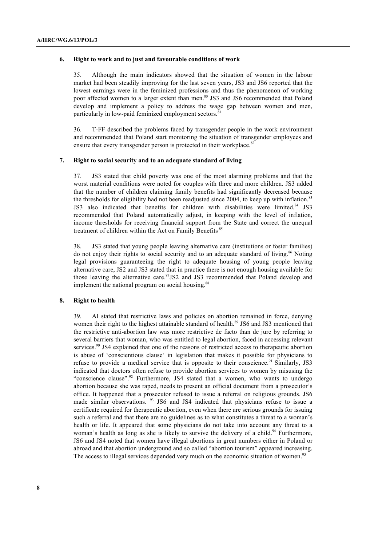#### **6. Right to work and to just and favourable conditions of work**

35. Although the main indicators showed that the situation of women in the labour market had been steadily improving for the last seven years, JS3 and JS6 reported that the lowest earnings were in the feminized professions and thus the phenomenon of working poor affected women to a larger extent than men.<sup>80</sup> JS3 and JS6 recommended that Poland develop and implement a policy to address the wage gap between women and men, particularly in low-paid feminized employment sectors.<sup>8</sup>

36. T-FF described the problems faced by transgender people in the work environment and recommended that Poland start monitoring the situation of transgender employees and ensure that every transgender person is protected in their workplace.<sup>82</sup>

# **7. Right to social security and to an adequate standard of living**

37. JS3 stated that child poverty was one of the most alarming problems and that the worst material conditions were noted for couples with three and more children. JS3 added that the number of children claiming family benefits had significantly decreased because the thresholds for eligibility had not been readjusted since 2004, to keep up with inflation.<sup>83</sup> JS3 also indicated that benefits for children with disabilities were limited.<sup>84</sup> JS3 recommended that Poland automatically adjust, in keeping with the level of inflation, income thresholds for receiving financial support from the State and correct the unequal treatment of children within the Act on Family Benefits<sup>85</sup>

38. JS3 stated that young people leaving alternative care (institutions or foster families) do not enjoy their rights to social security and to an adequate standard of living.<sup>86</sup> Noting legal provisions guaranteeing the right to adequate housing of young people leaving alternative care, JS2 and JS3 stated that in practice there is not enough housing available for those leaving the alternative care. <sup>87</sup>JS2 and JS3 recommended that Poland develop and implement the national program on social housing.<sup>88</sup>

#### **8. Right to health**

39. AI stated that restrictive laws and policies on abortion remained in force, denying women their right to the highest attainable standard of health.<sup>89</sup> JS6 and JS3 mentioned that the restrictive anti-abortion law was more restrictive de facto than de jure by referring to several barriers that woman, who was entitled to legal abortion, faced in accessing relevant services.<sup>90</sup> JS4 explained that one of the reasons of restricted access to therapeutic abortion is abuse of 'conscientious clause' in legislation that makes it possible for physicians to refuse to provide a medical service that is opposite to their conscience.<sup>91</sup> Similarly, JS3 indicated that doctors often refuse to provide abortion services to women by misusing the "conscience clause".<sup>92</sup> Furthermore, JS4 stated that a women, who wants to undergo abortion because she was raped, needs to present an official document from a prosecutor's office. It happened that a prosecutor refused to issue a referral on religious grounds. JS6 made similar observations. <sup>93</sup> JS6 and JS4 indicated that physicians refuse to issue a certificate required for therapeutic abortion, even when there are serious grounds for issuing such a referral and that there are no guidelines as to what constitutes a threat to a woman's health or life. It appeared that some physicians do not take into account any threat to a woman's health as long as she is likely to survive the delivery of a child.<sup>94</sup> Furthermore, JS6 and JS4 noted that women have illegal abortions in great numbers either in Poland or abroad and that abortion underground and so called "abortion tourism" appeared increasing. The access to illegal services depended very much on the economic situation of women.<sup>95</sup>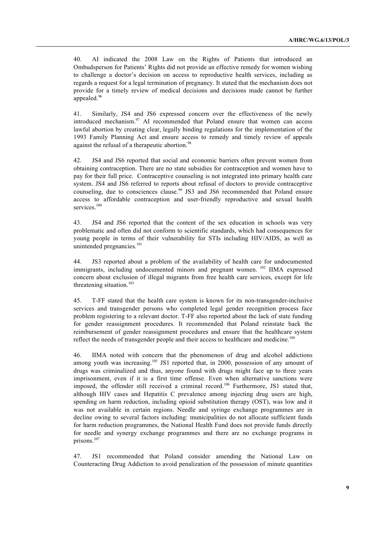40. AI indicated the 2008 Law on the Rights of Patients that introduced an Ombudsperson for Patients' Rights did not provide an effective remedy for women wishing to challenge a doctor's decision on access to reproductive health services, including as regards a request for a legal termination of pregnancy. It stated that the mechanism does not provide for a timely review of medical decisions and decisions made cannot be further appealed.<sup>96</sup>

41. Similarly, JS4 and JS6 expressed concern over the effectiveness of the newly introduced mechanism. $97$  AI recommended that Poland ensure that women can access lawful abortion by creating clear, legally binding regulations for the implementation of the 1993 Family Planning Act and ensure access to remedy and timely review of appeals against the refusal of a therapeutic abortion.<sup>98</sup>

42. JS4 and JS6 reported that social and economic barriers often prevent women from obtaining contraception. There are no state subsidies for contraception and women have to pay for their full price. Contraceptive counseling is not integrated into primary health care system. JS4 and JS6 referred to reports about refusal of doctors to provide contraceptive counseling, due to consciences clause.<sup>99</sup> JS3 and JS6 recommended that Poland ensure access to affordable contraception and user-friendly reproductive and sexual health services.<sup>100</sup>

43. JS4 and JS6 reported that the content of the sex education in schools was very problematic and often did not conform to scientific standards, which had consequences for young people in terms of their vulnerability for STIs including HIV/AIDS, as well as unintended pregnancies.<sup>101</sup>

44. JS3 reported about a problem of the availability of health care for undocumented immigrants, including undocumented minors and pregnant women. <sup>102</sup> IIMA expressed concern about exclusion of illegal migrants from free health care services, except for life threatening situation.<sup>103</sup>

45. T-FF stated that the health care system is known for its non-transgender-inclusive services and transgender persons who completed legal gender recognition process face problem registering to a relevant doctor. T-FF also reported about the lack of state funding for gender reassignment procedures. It recommended that Poland reinstate back the reimbursement of gender reassignment procedures and ensure that the healthcare system reflect the needs of transgender people and their access to healthcare and medicine.<sup>104</sup>

46. IIMA noted with concern that the phenomenon of drug and alcohol addictions among youth was increasing.<sup>105</sup> JS1 reported that, in 2000, possession of any amount of drugs was criminalized and thus, anyone found with drugs might face up to three years imprisonment, even if it is a first time offense. Even when alternative sanctions were imposed, the offender still received a criminal record.<sup>106</sup> Furthermore, JS1 stated that, although HIV cases and Hepatitis C prevalence among injecting drug users are high, spending on harm reduction, including opioid substitution therapy (OST), was low and it was not available in certain regions. Needle and syringe exchange programmes are in decline owing to several factors including: municipalities do not allocate sufficient funds for harm reduction programmes, the National Health Fund does not provide funds directly for needle and synergy exchange programmes and there are no exchange programs in prisons.<sup>107</sup>

47. JS1 recommended that Poland consider amending the National Law on Counteracting Drug Addiction to avoid penalization of the possession of minute quantities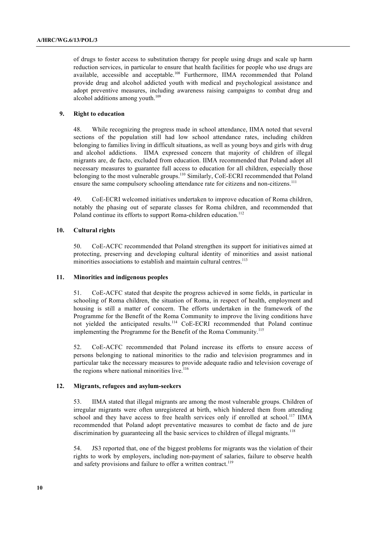of drugs to foster access to substitution therapy for people using drugs and scale up harm reduction services, in particular to ensure that health facilities for people who use drugs are available, accessible and acceptable.108 Furthermore, IIMA recommended that Poland provide drug and alcohol addicted youth with medical and psychological assistance and adopt preventive measures, including awareness raising campaigns to combat drug and alcohol additions among youth.<sup>109</sup>

# **9. Right to education**

48. While recognizing the progress made in school attendance, IIMA noted that several sections of the population still had low school attendance rates, including children belonging to families living in difficult situations, as well as young boys and girls with drug and alcohol addictions. IIMA expressed concern that majority of children of illegal migrants are, de facto, excluded from education. IIMA recommended that Poland adopt all necessary measures to guarantee full access to education for all children, especially those belonging to the most vulnerable groups.<sup>110</sup> Similarly, CoE-ECRI recommended that Poland ensure the same compulsory schooling attendance rate for citizens and non-citizens.<sup>111</sup>

49. CoE-ECRI welcomed initiatives undertaken to improve education of Roma children, notably the phasing out of separate classes for Roma children, and recommended that Poland continue its efforts to support Roma-children education.<sup>112</sup>

### **10. Cultural rights**

50. CoE-ACFC recommended that Poland strengthen its support for initiatives aimed at protecting, preserving and developing cultural identity of minorities and assist national minorities associations to establish and maintain cultural centres.<sup>113</sup>

# **11. Minorities and indigenous peoples**

51. CoE-ACFC stated that despite the progress achieved in some fields, in particular in schooling of Roma children, the situation of Roma, in respect of health, employment and housing is still a matter of concern. The efforts undertaken in the framework of the Programme for the Benefit of the Roma Community to improve the living conditions have not yielded the anticipated results.<sup>114</sup> CoE-ECRI recommended that Poland continue implementing the Programme for the Benefit of the Roma Community.<sup>115</sup>

52. CoE-ACFC recommended that Poland increase its efforts to ensure access of persons belonging to national minorities to the radio and television programmes and in particular take the necessary measures to provide adequate radio and television coverage of the regions where national minorities live.<sup>116</sup>

## **12. Migrants, refugees and asylum-seekers**

53. IIMA stated that illegal migrants are among the most vulnerable groups. Children of irregular migrants were often unregistered at birth, which hindered them from attending school and they have access to free health services only if enrolled at school.<sup>117</sup> IIMA recommended that Poland adopt preventative measures to combat de facto and de jure discrimination by guaranteeing all the basic services to children of illegal migrants.<sup>118</sup>

54. JS3 reported that, one of the biggest problems for migrants was the violation of their rights to work by employers, including non-payment of salaries, failure to observe health and safety provisions and failure to offer a written contract.<sup>119</sup>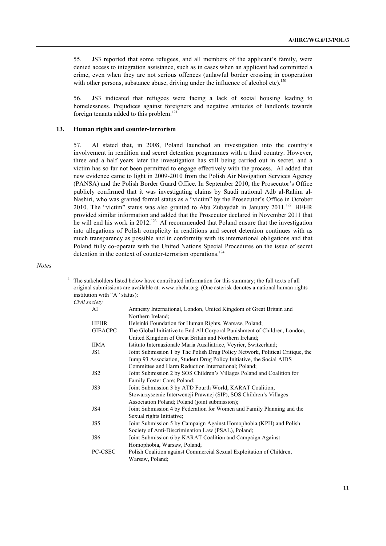55. JS3 reported that some refugees, and all members of the applicant's family, were denied access to integration assistance, such as in cases when an applicant had committed a crime, even when they are not serious offences (unlawful border crossing in cooperation with other persons, substance abuse, driving under the influence of alcohol etc).<sup>120</sup>

56. JS3 indicated that refugees were facing a lack of social housing leading to homelessness. Prejudices against foreigners and negative attitudes of landlords towards foreign tenants added to this problem.<sup>121</sup>

#### **13. Human rights and counter-terrorism**

57. AI stated that, in 2008, Poland launched an investigation into the country's involvement in rendition and secret detention programmes with a third country. However, three and a half years later the investigation has still being carried out in secret, and a victim has so far not been permitted to engage effectively with the process. AI added that new evidence came to light in 2009-2010 from the Polish Air Navigation Services Agency (PANSA) and the Polish Border Guard Office. In September 2010, the Prosecutor's Office publicly confirmed that it was investigating claims by Saudi national Adb al-Rahim al-Nashiri, who was granted formal status as a "victim" by the Prosecutor's Office in October 2010. The "victim" status was also granted to Abu Zubaydah in January  $2011$ .<sup>122</sup> HFHR provided similar information and added that the Prosecutor declared in November 2011 that he will end his work in 2012.<sup>123</sup> AI recommended that Poland ensure that the investigation into allegations of Polish complicity in renditions and secret detention continues with as much transparency as possible and in conformity with its international obligations and that Poland fully co-operate with the United Nations Special Procedures on the issue of secret detention in the context of counter-terrorism operations.<sup>124</sup>

*Notes*

 $1$  The stakeholders listed below have contributed information for this summary; the full texts of all original submissions are available at: www.ohchr.org. (One asterisk denotes a national human rights institution with "A" status):

*Civil society*

| AI              | Amnesty International, London, United Kingdom of Great Britain and            |  |
|-----------------|-------------------------------------------------------------------------------|--|
|                 | Northern Ireland:                                                             |  |
| <b>HFHR</b>     | Helsinki Foundation for Human Rights, Warsaw, Poland;                         |  |
| <b>GIEACPC</b>  | The Global Initiative to End All Corporal Punishment of Children, London,     |  |
|                 | United Kingdom of Great Britain and Northern Ireland;                         |  |
| IIMA            | Istituto Internazionale Maria Ausiliatrice, Veyrier, Switzerland;             |  |
| JS1             | Joint Submission 1 by The Polish Drug Policy Network, Political Critique, the |  |
|                 | Jump 93 Association, Student Drug Policy Initiative, the Social AIDS          |  |
|                 | Committee and Harm Reduction International; Poland;                           |  |
| JS <sub>2</sub> | Joint Submission 2 by SOS Children's Villages Poland and Coalition for        |  |
|                 | Family Foster Care; Poland;                                                   |  |
| JS3             | Joint Submission 3 by ATD Fourth World, KARAT Coalition,                      |  |
|                 | Stowarzyszenie Interwencji Prawnej (SIP), SOS Children's Villages             |  |
|                 | Association Poland; Poland (joint submission);                                |  |
| JS4             | Joint Submission 4 by Federation for Women and Family Planning and the        |  |
|                 | Sexual rights Initiative;                                                     |  |
| JS5             | Joint Submission 5 by Campaign Against Homophobia (KPH) and Polish            |  |
|                 | Society of Anti-Discrimination Law (PSAL), Poland;                            |  |
| JS6             | Joint Submission 6 by KARAT Coalition and Campaign Against                    |  |
|                 | Homophobia, Warsaw, Poland;                                                   |  |
| PC-CSEC         | Polish Coalition against Commercial Sexual Exploitation of Children,          |  |
|                 | Warsaw, Poland;                                                               |  |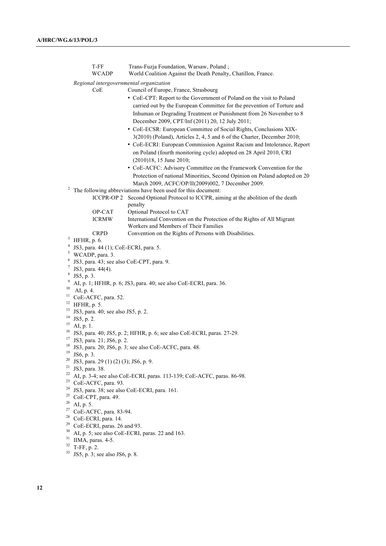|          | T-FF<br><b>WCADP</b>                                                            | Trans-Fuzja Foundation, Warsaw, Poland;<br>World Coalition Against the Death Penalty, Chatillon, France.                                                                                                                                                                 |  |  |
|----------|---------------------------------------------------------------------------------|--------------------------------------------------------------------------------------------------------------------------------------------------------------------------------------------------------------------------------------------------------------------------|--|--|
|          | Regional intergovernmental organization                                         |                                                                                                                                                                                                                                                                          |  |  |
|          | CoE                                                                             | Council of Europe, France, Strasbourg                                                                                                                                                                                                                                    |  |  |
|          |                                                                                 | • CoE-CPT: Report to the Government of Poland on the visit to Poland<br>carried out by the European Committee for the prevention of Torture and<br>Inhuman or Degrading Treatment or Punishment from 26 November to 8<br>December 2009, CPT/Inf (2011) 20, 12 July 2011; |  |  |
|          |                                                                                 | • CoE-ECSR: European Committee of Social Rights, Conclusions XIX-                                                                                                                                                                                                        |  |  |
|          |                                                                                 | 3(2010) (Poland), Articles 2, 4, 5 and 6 of the Charter, December 2010;                                                                                                                                                                                                  |  |  |
|          |                                                                                 | • CoE-ECRI: European Commission Against Racism and Intolerance, Report<br>on Poland (fourth monitoring cycle) adopted on 28 April 2010, CRI<br>(2010)18, 15 June 2010;                                                                                                   |  |  |
|          |                                                                                 | • CoE-ACFC: Advisory Committee on the Framework Convention for the                                                                                                                                                                                                       |  |  |
|          |                                                                                 | Protection of national Minorities, Second Opinion on Poland adopted on 20<br>March 2009, ACFC/OP/II(2009)002, 7 December 2009.                                                                                                                                           |  |  |
|          | The following abbreviations have been used for this document:                   |                                                                                                                                                                                                                                                                          |  |  |
|          | ICCPR-OP 2                                                                      | Second Optional Protocol to ICCPR, aiming at the abolition of the death<br>penalty                                                                                                                                                                                       |  |  |
|          | OP-CAT                                                                          | Optional Protocol to CAT                                                                                                                                                                                                                                                 |  |  |
|          | <b>ICRMW</b>                                                                    | International Convention on the Protection of the Rights of All Migrant<br>Workers and Members of Their Families                                                                                                                                                         |  |  |
|          | <b>CRPD</b>                                                                     | Convention on the Rights of Persons with Disabilities.                                                                                                                                                                                                                   |  |  |
| 3        | $HFHR$ , p. 6.                                                                  |                                                                                                                                                                                                                                                                          |  |  |
| 4        | JS3, para. 44 (1); CoE-ECRI, para. 5.                                           |                                                                                                                                                                                                                                                                          |  |  |
| 5        | WCADP, para. 3.                                                                 |                                                                                                                                                                                                                                                                          |  |  |
| 6<br>7   | JS3, para. 43; see also CoE-CPT, para. 9.                                       |                                                                                                                                                                                                                                                                          |  |  |
| 8        | JS3, para. 44(4).                                                               |                                                                                                                                                                                                                                                                          |  |  |
| 9        | JS5, p. 3.<br>AI, p. 1; HFHR, p. 6; JS3, para. 40; see also CoE-ECRI, para. 36. |                                                                                                                                                                                                                                                                          |  |  |
| 10       | AI, p. 4.                                                                       |                                                                                                                                                                                                                                                                          |  |  |
| 11       | CoE-ACFC, para. 52.                                                             |                                                                                                                                                                                                                                                                          |  |  |
| 12       | HFHR, p. 5.                                                                     |                                                                                                                                                                                                                                                                          |  |  |
| 13       | JS3, para. 40; see also JS5, p. 2.                                              |                                                                                                                                                                                                                                                                          |  |  |
| 14       | JS5, p. 2.                                                                      |                                                                                                                                                                                                                                                                          |  |  |
| 15<br>16 | AI, p. 1.                                                                       |                                                                                                                                                                                                                                                                          |  |  |
| 17       | JS3, para. 40; JS5, p. 2; HFHR, p. 6; see also CoE-ECRI, paras. 27-29.          |                                                                                                                                                                                                                                                                          |  |  |
| 18       | JS3, para. 21; JS6, p. 2.                                                       |                                                                                                                                                                                                                                                                          |  |  |
| 19       | JS3, para. 20; JS6, p. 3; see also CoE-ACFC, para. 48.<br>JS6, p. 3.            |                                                                                                                                                                                                                                                                          |  |  |
| 20       | JS3, para. 29 (1) (2) (3); JS6, p. 9.                                           |                                                                                                                                                                                                                                                                          |  |  |
| 21       | JS3, para. 38.                                                                  |                                                                                                                                                                                                                                                                          |  |  |
| 22       | AI, p. 3-4; see also CoE-ECRI, paras. 113-139; CoE-ACFC, paras. 86-98.          |                                                                                                                                                                                                                                                                          |  |  |
| 23       | CoE-ACFC, para. 93.                                                             |                                                                                                                                                                                                                                                                          |  |  |
| 24       | JS3, para. 38; see also CoE-ECRI, para. 161.                                    |                                                                                                                                                                                                                                                                          |  |  |
| 25       | CoE-CPT, para. 49.                                                              |                                                                                                                                                                                                                                                                          |  |  |
| 26<br>27 | AI, p. 5.                                                                       |                                                                                                                                                                                                                                                                          |  |  |
| 28       | CoE-ACFC, para. 83-94.                                                          |                                                                                                                                                                                                                                                                          |  |  |
| 29       | CoE-ECRI, para. 14.<br>CoE-ECRI, paras. 26 and 93.                              |                                                                                                                                                                                                                                                                          |  |  |
| 30       | AI, p. 5; see also CoE-ECRI, paras. 22 and 163.                                 |                                                                                                                                                                                                                                                                          |  |  |
| 31       | IIMA, paras. 4-5.                                                               |                                                                                                                                                                                                                                                                          |  |  |
| 32       | T-FF, p. 2.                                                                     |                                                                                                                                                                                                                                                                          |  |  |
| 33       | JS5, p. 3; see also JS6, p. 8.                                                  |                                                                                                                                                                                                                                                                          |  |  |
|          |                                                                                 |                                                                                                                                                                                                                                                                          |  |  |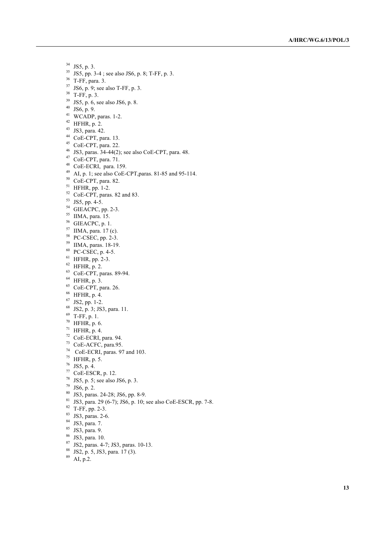- JS5, p. 3.
- JS5, pp. 3-4; see also JS6, p. 8; T-FF, p. 3.
- T-FF, para. 3.
- JS6, p. 9; see also T-FF, p. 3.
- T-FF, p. 3.
- $39 \text{ JS5}, p. 6, \text{see also JS6}, p. 8.$
- JS6, p. 9.
- $^{41}$  WCADP, paras. 1-2.<br><sup>42</sup> HFHR, p. 2.
- 
- JS3, para. 42.
- CoE-CPT, para. 13.
- CoE-CPT, para. 22.
- JS3, paras. 34-44(2); see also CoE-CPT, para. 48. 47 CoE-CPT, para. 71.
- 
- CoE-ECRI, para. 159.
- AI, p. 1; see also CoE-CPT,paras. 81-85 and 95-114.
- $50 \text{ }$  CoE-CPT, para. 82.
- $^{51}$  HFHR, pp. 1-2.
- CoE-CPT, paras. 82 and 83.
- JS5, pp. 4-5.
- GIEACPC, pp. 2-3.
- IIMA, para. 15.
- GIEACPC, p. 1.
- IIMA, para. 17 (c).
- PC-CSEC, pp. 2-3.
- IIMA, paras. 18-19.
- PC-CSEC, p. 4-5.
- HFHR, pp. 2-3.
- HFHR, p. 2.
- CoE-CPT, paras. 89-94.
- HFHR, p. 3.
- CoE-CPT, para. 26.
- HFHR, p. 4.
- JS2, pp. 1-2.
- JS2, p. 3; JS3, para. 11.
- T-FF, p. 1.
- HFHR, p. 6.
- HFHR, p. 4.
- 
- CoE-ECRI, para. 94. CoE-ACFC, para.95.
- 
- CoE-ECRI, paras. 97 and 103.
- HFHR, p. 5.
- JS5, p. 4.
- CoE-ESCR, p. 12.
- 
- 
- <sup>78</sup> JS5, p. 5; see also JS6, p. 3.<br><sup>79</sup> JS6, p. 2.<br><sup>80</sup> JS3, paras. 24-28; JS6, pp. 8-9.
- <sup>80</sup> JS3, paras. 24-28; JS6, pp. 8-9.<br><sup>81</sup> JS3, para. 29 (6-7); JS6, p. 10; see also CoE-ESCR, pp. 7-8.
- 
- T-FF, pp. 2-3.<br> $83$  JS3, paras. 2-6.
- 
- $84 \text{ JS3}, \text{para. 7}.$ <br> $85 \text{ JS3}, \text{para. 9}.$
- JS3, para. 10.
- 87 JS2, paras. 4-7; JS3, paras. 10-13.
- JS2, p. 5, JS3, para. 17 (3).
- AI, p.2.